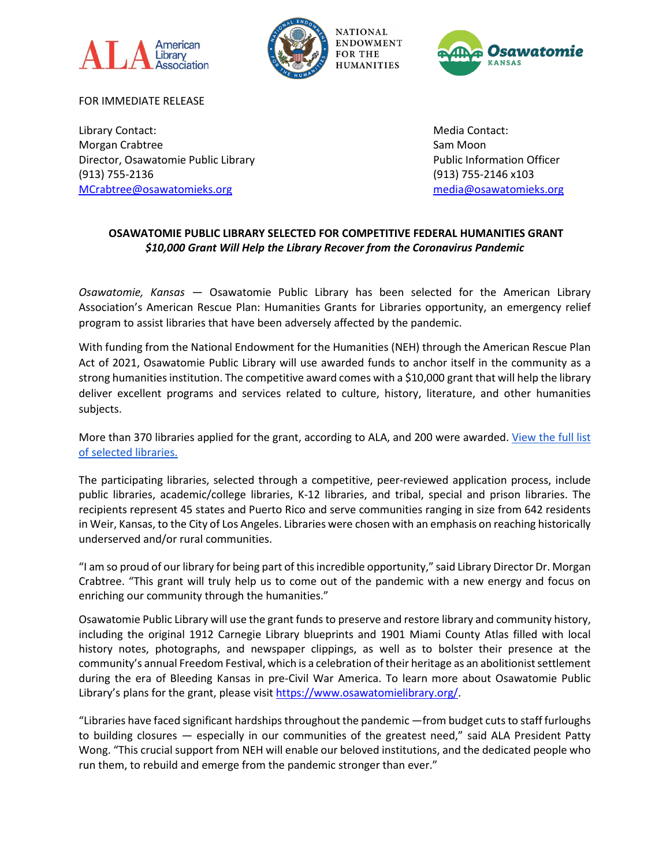





FOR IMMEDIATE RELEASE

Library Contact: New York 2012 19:30 And 20:30 And 20:30 And 20:30 And 20:30 And 20:30 And 20:30 And 20:30 And 20:30 And 20:30 And 20:30 And 20:30 And 20:30 And 20:30 And 20:30 And 20:30 And 20:30 And 20:30 And 20:30 And 2 Morgan Crabtree Sam Moon Crabtree Sam Moon Crabtree Sam Moon Sam Moon Sam Moon Director, Osawatomie Public Library Public Information Officer (913) 755-2136 (913) 755-2146 x103 [MCrabtree@osawatomieks.org](mailto:MCrabtree@osawatomieks.org) [media@osawatomieks.org](mailto:media@osawatomieks.org)

## **OSAWATOMIE PUBLIC LIBRARY SELECTED FOR COMPETITIVE FEDERAL HUMANITIES GRANT** *\$10,000 Grant Will Help the Library Recover from the Coronavirus Pandemic*

*Osawatomie, Kansas* — Osawatomie Public Library has been selected for the American Library Association's American Rescue Plan: Humanities Grants for Libraries opportunity, an emergency relief program to assist libraries that have been adversely affected by the pandemic.

With funding from the National Endowment for the Humanities (NEH) through the American Rescue Plan Act of 2021, Osawatomie Public Library will use awarded funds to anchor itself in the community as a strong humanities institution. The competitive award comes with a \$10,000 grant that will help the library deliver excellent programs and services related to culture, history, literature, and other humanities subjects.

More than 370 libraries applied for the grant, according to ALA, and 200 were awarded. View the full list [of selected libraries.](https://www.ala.org/tools/programming/ARPhumanities/sites)

The participating libraries, selected through a competitive, peer-reviewed application process, include public libraries, academic/college libraries, K-12 libraries, and tribal, special and prison libraries. The recipients represent 45 states and Puerto Rico and serve communities ranging in size from 642 residents in Weir, Kansas, to the City of Los Angeles. Libraries were chosen with an emphasis on reaching historically underserved and/or rural communities.

"I am so proud of our library for being part of this incredible opportunity," said Library Director Dr. Morgan Crabtree. "This grant will truly help us to come out of the pandemic with a new energy and focus on enriching our community through the humanities."

Osawatomie Public Library will use the grant funds to preserve and restore library and community history, including the original 1912 Carnegie Library blueprints and 1901 Miami County Atlas filled with local history notes, photographs, and newspaper clippings, as well as to bolster their presence at the community's annual Freedom Festival, which is a celebration of their heritage as an abolitionist settlement during the era of Bleeding Kansas in pre-Civil War America. To learn more about Osawatomie Public Library's plans for the grant, please visit [https://www.osawatomielibrary.org/.](https://www.osawatomielibrary.org/)

"Libraries have faced significant hardships throughout the pandemic —from budget cuts to staff furloughs to building closures — especially in our communities of the greatest need," said ALA President Patty Wong. "This crucial support from NEH will enable our beloved institutions, and the dedicated people who run them, to rebuild and emerge from the pandemic stronger than ever."